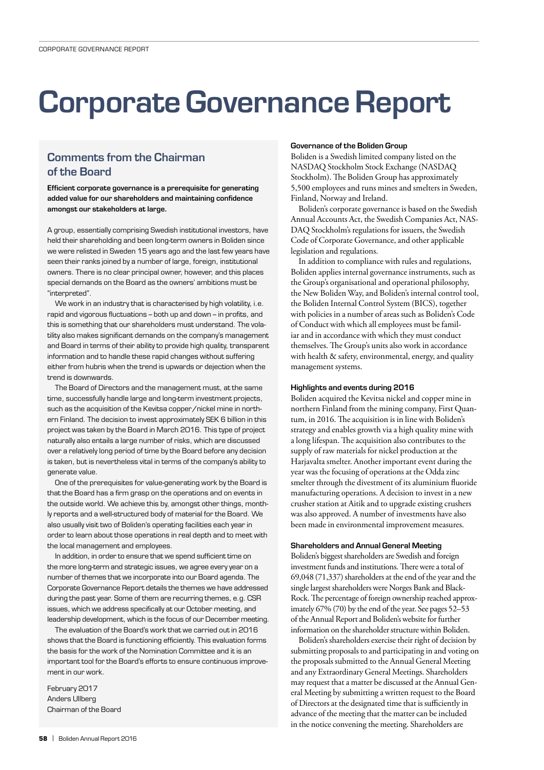# Corporate Governance Report

# Comments from the Chairman of the Board

Efficient corporate governance is a prerequisite for generating added value for our shareholders and maintaining confidence amongst our stakeholders at large.

A group, essentially comprising Swedish institutional investors, have held their shareholding and been long-term owners in Boliden since we were relisted in Sweden 15 years ago and the last few years have seen their ranks joined by a number of large, foreign, institutional owners. There is no clear principal owner, however, and this places special demands on the Board as the owners' ambitions must be "interpreted".

We work in an industry that is characterised by high volatility, i.e. rapid and vigorous fluctuations – both up and down – in profits, and this is something that our shareholders must understand. The volatility also makes significant demands on the company's management and Board in terms of their ability to provide high quality, transparent information and to handle these rapid changes without suffering either from hubris when the trend is upwards or dejection when the trend is downwards.

The Board of Directors and the management must, at the same time, successfully handle large and long-term investment projects, such as the acquisition of the Kevitsa copper/nickel mine in northern Finland. The decision to invest approximately SEK 6 billion in this project was taken by the Board in March 2016. This type of project naturally also entails a large number of risks, which are discussed over a relatively long period of time by the Board before any decision is taken, but is nevertheless vital in terms of the company's ability to generate value.

One of the prerequisites for value-generating work by the Board is that the Board has a firm grasp on the operations and on events in the outside world. We achieve this by, amongst other things, monthly reports and a well-structured body of material for the Board. We also usually visit two of Boliden's operating facilities each year in order to learn about those operations in real depth and to meet with the local management and employees.

In addition, in order to ensure that we spend sufficient time on the more long-term and strategic issues, we agree every year on a number of themes that we incorporate into our Board agenda. The Corporate Governance Report details the themes we have addressed during the past year. Some of them are recurring themes, e.g. CSR issues, which we address specifically at our October meeting, and leadership development, which is the focus of our December meeting.

The evaluation of the Board's work that we carried out in 2016 shows that the Board is functioning efficiently. This evaluation forms the basis for the work of the Nomination Committee and it is an important tool for the Board's efforts to ensure continuous improvement in our work.

February 2017 Anders Ullberg Chairman of the Board

#### Governance of the Boliden Group

Boliden is a Swedish limited company listed on the NASDAQ Stockholm Stock Exchange (NASDAQ Stockholm). The Boliden Group has approximately 5,500 employees and runs mines and smelters in Sweden, Finland, Norway and Ireland.

Boliden's corporate governance is based on the Swedish Annual Accounts Act, the Swedish Companies Act, NAS-DAQ Stockholm's regulations for issuers, the Swedish Code of Corporate Governance, and other applicable legislation and regulations.

In addition to compliance with rules and regulations, Boliden applies internal governance instruments, such as the Group's organisational and operational philosophy, the New Boliden Way, and Boliden's internal control tool, the Boliden Internal Control System (BICS), together with policies in a number of areas such as Boliden's Code of Conduct with which all employees must be familiar and in accordance with which they must conduct themselves. The Group's units also work in accordance with health & safety, environmental, energy, and quality management systems.

#### Highlights and events during 2016

Boliden acquired the Kevitsa nickel and copper mine in northern Finland from the mining company, First Quantum, in 2016. The acquisition is in line with Boliden's strategy and enables growth via a high quality mine with a long lifespan. The acquisition also contributes to the supply of raw materials for nickel production at the Harjavalta smelter. Another important event during the year was the focusing of operations at the Odda zinc smelter through the divestment of its aluminium fluoride manufacturing operations. A decision to invest in a new crusher station at Aitik and to upgrade existing crushers was also approved. A number of investments have also been made in environmental improvement measures.

#### Shareholders and Annual General Meeting

Boliden's biggest shareholders are Swedish and foreign investment funds and institutions. There were a total of 69,048 (71,337) shareholders at the end of the year and the single largest shareholders were Norges Bank and Black-Rock. The percentage of foreign ownership reached approximately 67% (70) by the end of the year. See pages 52–53 of the Annual Report and Boliden's website for further information on the shareholder structure within Boliden.

Boliden's shareholders exercise their right of decision by submitting proposals to and participating in and voting on the proposals submitted to the Annual General Meeting and any Extraordinary General Meetings. Shareholders may request that a matter be discussed at the Annual General Meeting by submitting a written request to the Board of Directors at the designated time that is sufficiently in advance of the meeting that the matter can be included in the notice convening the meeting. Shareholders are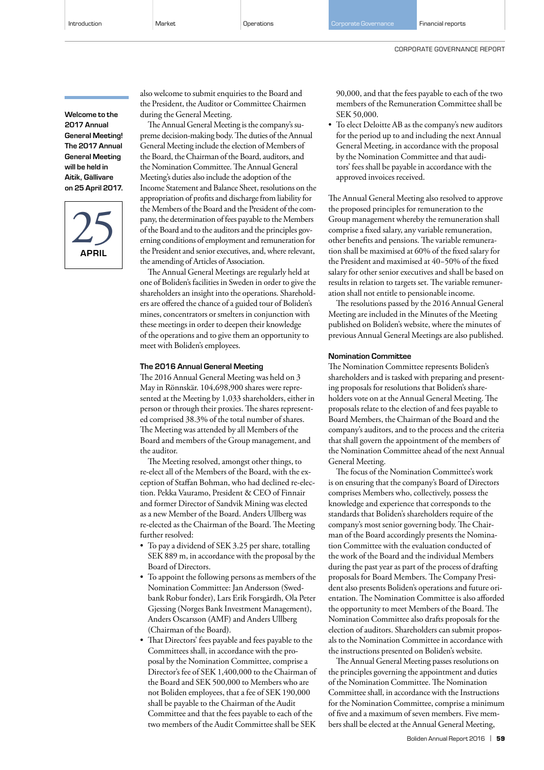Welcome to the 2017 Annual General Meeting! The 2017 Annual General Meeting will be held in Aitik, Gällivare on 25 April 2017.

APRIL  $25$  also welcome to submit enquiries to the Board and the President, the Auditor or Committee Chairmen during the General Meeting.

The Annual General Meeting is the company's supreme decision-making body. The duties of the Annual General Meeting include the election of Members of the Board, the Chairman of the Board, auditors, and the Nomination Committee. The Annual General Meeting's duties also include the adoption of the Income Statement and Balance Sheet, resolutions on the appropriation of profits and discharge from liability for the Members of the Board and the President of the company, the determination of fees payable to the Members of the Board and to the auditors and the principles governing conditions of employment and remuneration for the President and senior executives, and, where relevant, the amending of Articles of Association.

The Annual General Meetings are regularly held at one of Boliden's facilities in Sweden in order to give the shareholders an insight into the operations. Shareholders are offered the chance of a guided tour of Boliden's mines, concentrators or smelters in conjunction with these meetings in order to deepen their knowledge of the operations and to give them an opportunity to meet with Boliden's employees.

#### The 2016 Annual General Meeting

The 2016 Annual General Meeting was held on 3 May in Rönnskär. 104,698,900 shares were represented at the Meeting by 1,033 shareholders, either in person or through their proxies. The shares represented comprised 38.3% of the total number of shares. The Meeting was attended by all Members of the Board and members of the Group management, and the auditor.

The Meeting resolved, amongst other things, to re-elect all of the Members of the Board, with the exception of Staffan Bohman, who had declined re-election. Pekka Vauramo, President & CEO of Finnair and former Director of Sandvik Mining was elected as a new Member of the Board. Anders Ullberg was re-elected as the Chairman of the Board. The Meeting further resolved:

- To pay a dividend of SEK 3.25 per share, totalling SEK 889 m, in accordance with the proposal by the Board of Directors.
- To appoint the following persons as members of the Nomination Committee: Jan Andersson (Swedbank Robur fonder), Lars Erik Forsgårdh, Ola Peter Gjessing (Norges Bank Investment Management), Anders Oscarsson (AMF) and Anders Ullberg (Chairman of the Board).
- That Directors' fees payable and fees payable to the Committees shall, in accordance with the proposal by the Nomination Committee, comprise a Director's fee of SEK 1,400,000 to the Chairman of the Board and SEK 500,000 to Members who are not Boliden employees, that a fee of SEK 190,000 shall be payable to the Chairman of the Audit Committee and that the fees payable to each of the two members of the Audit Committee shall be SEK

90,000, and that the fees payable to each of the two members of the Remuneration Committee shall be SEK 50,000.

• To elect Deloitte AB as the company's new auditors for the period up to and including the next Annual General Meeting, in accordance with the proposal by the Nomination Committee and that auditors' fees shall be payable in accordance with the approved invoices received.

The Annual General Meeting also resolved to approve the proposed principles for remuneration to the Group management whereby the remuneration shall comprise a fixed salary, any variable remuneration, other benefits and pensions. The variable remuneration shall be maximised at 60% of the fixed salary for the President and maximised at 40−50% of the fixed salary for other senior executives and shall be based on results in relation to targets set. The variable remuneration shall not entitle to pensionable income.

The resolutions passed by the 2016 Annual General Meeting are included in the Minutes of the Meeting published on Boliden's website, where the minutes of previous Annual General Meetings are also published.

#### Nomination Committee

The Nomination Committee represents Boliden's shareholders and is tasked with preparing and presenting proposals for resolutions that Boliden's shareholders vote on at the Annual General Meeting. The proposals relate to the election of and fees payable to Board Members, the Chairman of the Board and the company's auditors, and to the process and the criteria that shall govern the appointment of the members of the Nomination Committee ahead of the next Annual General Meeting.

The focus of the Nomination Committee's work is on ensuring that the company's Board of Directors comprises Members who, collectively, possess the knowledge and experience that corresponds to the standards that Boliden's shareholders require of the company's most senior governing body. The Chairman of the Board accordingly presents the Nomination Committee with the evaluation conducted of the work of the Board and the individual Members during the past year as part of the process of drafting proposals for Board Members. The Company President also presents Boliden's operations and future orientation. The Nomination Committee is also afforded the opportunity to meet Members of the Board. The Nomination Committee also drafts proposals for the election of auditors. Shareholders can submit proposals to the Nomination Committee in accordance with the instructions presented on Boliden's website.

The Annual General Meeting passes resolutions on the principles governing the appointment and duties of the Nomination Committee. The Nomination Committee shall, in accordance with the Instructions for the Nomination Committee, comprise a minimum of five and a maximum of seven members. Five members shall be elected at the Annual General Meeting,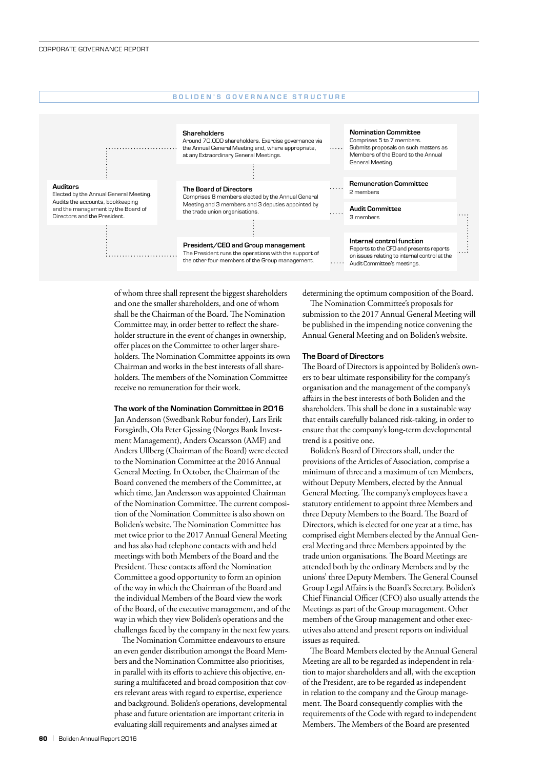

of whom three shall represent the biggest shareholders and one the smaller shareholders, and one of whom shall be the Chairman of the Board. The Nomination Committee may, in order better to reflect the shareholder structure in the event of changes in ownership, offer places on the Committee to other larger shareholders. The Nomination Committee appoints its own Chairman and works in the best interests of all shareholders. The members of the Nomination Committee receive no remuneration for their work.

#### The work of the Nomination Committee in 2016

Jan Andersson (Swedbank Robur fonder), Lars Erik Forsgårdh, Ola Peter Gjessing (Norges Bank Investment Management), Anders Oscarsson (AMF) and Anders Ullberg (Chairman of the Board) were elected to the Nomination Committee at the 2016 Annual General Meeting. In October, the Chairman of the Board convened the members of the Committee, at which time, Jan Andersson was appointed Chairman of the Nomination Committee. The current composition of the Nomination Committee is also shown on Boliden's website. The Nomination Committee has met twice prior to the 2017 Annual General Meeting and has also had telephone contacts with and held meetings with both Members of the Board and the President. These contacts afford the Nomination Committee a good opportunity to form an opinion of the way in which the Chairman of the Board and the individual Members of the Board view the work of the Board, of the executive management, and of the way in which they view Boliden's operations and the challenges faced by the company in the next few years.

The Nomination Committee endeavours to ensure an even gender distribution amongst the Board Members and the Nomination Committee also prioritises, in parallel with its efforts to achieve this objective, ensuring a multifaceted and broad composition that covers relevant areas with regard to expertise, experience and background. Boliden's operations, developmental phase and future orientation are important criteria in evaluating skill requirements and analyses aimed at

determining the optimum composition of the Board. The Nomination Committee's proposals for

submission to the 2017 Annual General Meeting will be published in the impending notice convening the Annual General Meeting and on Boliden's website.

#### The Board of Directors

The Board of Directors is appointed by Boliden's owners to bear ultimate responsibility for the company's organisation and the management of the company's affairs in the best interests of both Boliden and the shareholders. This shall be done in a sustainable way that entails carefully balanced risk-taking, in order to ensure that the company's long-term developmental trend is a positive one.

Boliden's Board of Directors shall, under the provisions of the Articles of Association, comprise a minimum of three and a maximum of ten Members, without Deputy Members, elected by the Annual General Meeting. The company's employees have a statutory entitlement to appoint three Members and three Deputy Members to the Board. The Board of Directors, which is elected for one year at a time, has comprised eight Members elected by the Annual General Meeting and three Members appointed by the trade union organisations. The Board Meetings are attended both by the ordinary Members and by the unions' three Deputy Members. The General Counsel Group Legal Affairs is the Board's Secretary. Boliden's Chief Financial Officer (CFO) also usually attends the Meetings as part of the Group management. Other members of the Group management and other executives also attend and present reports on individual issues as required.

The Board Members elected by the Annual General Meeting are all to be regarded as independent in relation to major shareholders and all, with the exception of the President, are to be regarded as independent in relation to the company and the Group management. The Board consequently complies with the requirements of the Code with regard to independent Members. The Members of the Board are presented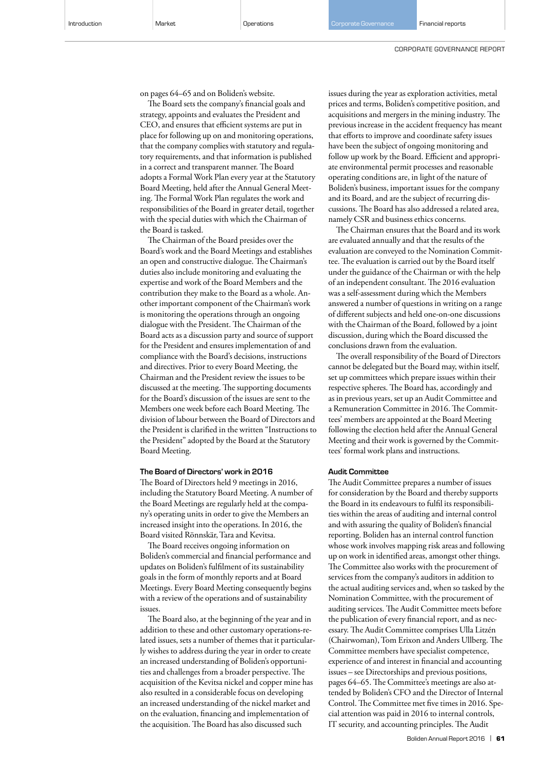on pages 64–65 and on Boliden's website.

The Board sets the company's financial goals and strategy, appoints and evaluates the President and CEO, and ensures that efficient systems are put in place for following up on and monitoring operations, that the company complies with statutory and regulatory requirements, and that information is published in a correct and transparent manner. The Board adopts a Formal Work Plan every year at the Statutory Board Meeting, held after the Annual General Meeting. The Formal Work Plan regulates the work and responsibilities of the Board in greater detail, together with the special duties with which the Chairman of the Board is tasked.

The Chairman of the Board presides over the Board's work and the Board Meetings and establishes an open and constructive dialogue. The Chairman's duties also include monitoring and evaluating the expertise and work of the Board Members and the contribution they make to the Board as a whole. Another important component of the Chairman's work is monitoring the operations through an ongoing dialogue with the President. The Chairman of the Board acts as a discussion party and source of support for the President and ensures implementation of and compliance with the Board's decisions, instructions and directives. Prior to every Board Meeting, the Chairman and the President review the issues to be discussed at the meeting. The supporting documents for the Board's discussion of the issues are sent to the Members one week before each Board Meeting. The division of labour between the Board of Directors and the President is clarified in the written "Instructions to the President" adopted by the Board at the Statutory Board Meeting.

#### The Board of Directors' work in 2016

The Board of Directors held 9 meetings in 2016, including the Statutory Board Meeting. A number of the Board Meetings are regularly held at the company's operating units in order to give the Members an increased insight into the operations. In 2016, the Board visited Rönnskär, Tara and Kevitsa.

The Board receives ongoing information on Boliden's commercial and financial performance and updates on Boliden's fulfilment of its sustainability goals in the form of monthly reports and at Board Meetings. Every Board Meeting consequently begins with a review of the operations and of sustainability issues.

The Board also, at the beginning of the year and in addition to these and other customary operations-related issues, sets a number of themes that it particularly wishes to address during the year in order to create an increased understanding of Boliden's opportunities and challenges from a broader perspective. The acquisition of the Kevitsa nickel and copper mine has also resulted in a considerable focus on developing an increased understanding of the nickel market and on the evaluation, financing and implementation of the acquisition. The Board has also discussed such

issues during the year as exploration activities, metal prices and terms, Boliden's competitive position, and acquisitions and mergers in the mining industry. The previous increase in the accident frequency has meant that efforts to improve and coordinate safety issues have been the subject of ongoing monitoring and follow up work by the Board. Efficient and appropriate environmental permit processes and reasonable operating conditions are, in light of the nature of Boliden's business, important issues for the company and its Board, and are the subject of recurring discussions. The Board has also addressed a related area, namely CSR and business ethics concerns.

The Chairman ensures that the Board and its work are evaluated annually and that the results of the evaluation are conveyed to the Nomination Committee. The evaluation is carried out by the Board itself under the guidance of the Chairman or with the help of an independent consultant. The 2016 evaluation was a self-assessment during which the Members answered a number of questions in writing on a range of different subjects and held one-on-one discussions with the Chairman of the Board, followed by a joint discussion, during which the Board discussed the conclusions drawn from the evaluation.

The overall responsibility of the Board of Directors cannot be delegated but the Board may, within itself, set up committees which prepare issues within their respective spheres. The Board has, accordingly and as in previous years, set up an Audit Committee and a Remuneration Committee in 2016. The Committees' members are appointed at the Board Meeting following the election held after the Annual General Meeting and their work is governed by the Committees' formal work plans and instructions.

#### Audit Committee

The Audit Committee prepares a number of issues for consideration by the Board and thereby supports the Board in its endeavours to fulfil its responsibilities within the areas of auditing and internal control and with assuring the quality of Boliden's financial reporting. Boliden has an internal control function whose work involves mapping risk areas and following up on work in identified areas, amongst other things. The Committee also works with the procurement of services from the company's auditors in addition to the actual auditing services and, when so tasked by the Nomination Committee, with the procurement of auditing services. The Audit Committee meets before the publication of every financial report, and as necessary. The Audit Committee comprises Ulla Litzén (Chairwoman), Tom Erixon and Anders Ullberg. The Committee members have specialist competence, experience of and interest in financial and accounting issues – see Directorships and previous positions, pages 64–65. The Committee's meetings are also attended by Boliden's CFO and the Director of Internal Control. The Committee met five times in 2016. Special attention was paid in 2016 to internal controls, IT security, and accounting principles. The Audit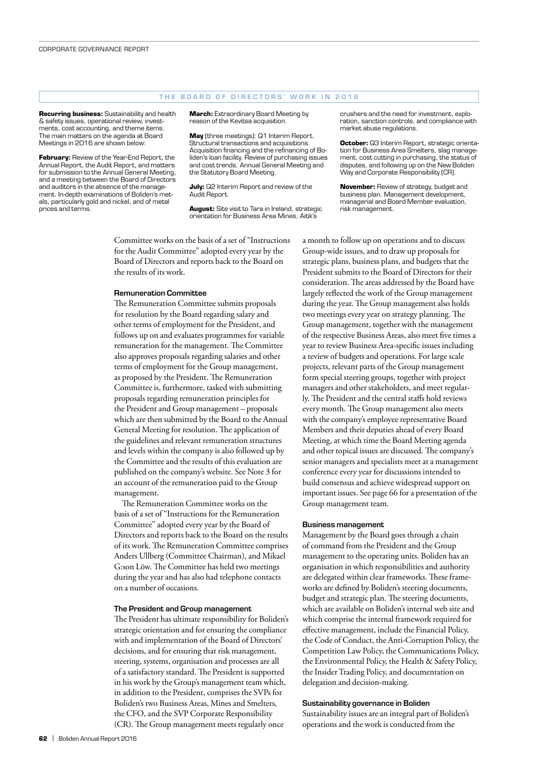#### THE BOARD OF DIRECTORS' WORK IN 2016

**Recurring business:** Sustainability and health & safety issues, operational review, investments, cost accounting, and theme items. The main matters on the agenda at Board Meetings in 2016 are shown below:

**February:** Review of the Year-End Report, the Annual Report, the Audit Report, and matters for submission to the Annual General Meeting, and a meeting between the Board of Directors and auditors in the absence of the management. In-depth examinations of Boliden's metals, particularly gold and nickel, and of metal prices and terms.

**March:** Extraordinary Board Meeting by reason of the Kevitsa acquisition.

**May** (three meetings): Q1 Interim Report. Structural transactions and acquisitions. Acquisition financing and the refinancing of Boliden's loan facility. Review of purchasing issues and cost trends. Annual General Meeting and the Statutory Board Meeting.

**July:** Q2 Interim Report and review of the Audit Report.

**August:** Site visit to Tara in Ireland, strategic orientation for Business Area Mines, Aitik's

Committee works on the basis of a set of "Instructions for the Audit Committee" adopted every year by the Board of Directors and reports back to the Board on the results of its work.

#### Remuneration Committee

The Remuneration Committee submits proposals for resolution by the Board regarding salary and other terms of employment for the President, and follows up on and evaluates programmes for variable remuneration for the management. The Committee also approves proposals regarding salaries and other terms of employment for the Group management, as proposed by the President. The Remuneration Committee is, furthermore, tasked with submitting proposals regarding remuneration principles for the President and Group management – proposals which are then submitted by the Board to the Annual General Meeting for resolution. The application of the guidelines and relevant remuneration structures and levels within the company is also followed up by the Committee and the results of this evaluation are published on the company's website. See Note 3 for an account of the remuneration paid to the Group management.

The Remuneration Committee works on the basis of a set of "Instructions for the Remuneration Committee" adopted every year by the Board of Directors and reports back to the Board on the results of its work. The Remuneration Committee comprises Anders Ullberg (Committee Chairman), and Mikael G:son Löw. The Committee has held two meetings during the year and has also had telephone contacts on a number of occasions.

#### The President and Group management

The President has ultimate responsibility for Boliden's strategic orientation and for ensuring the compliance with and implementation of the Board of Directors' decisions, and for ensuring that risk management, steering, systems, organisation and processes are all of a satisfactory standard. The President is supported in his work by the Group's management team which, in addition to the President, comprises the SVPs for Boliden's two Business Areas, Mines and Smelters, the CFO, and the SVP Corporate Responsibility (CR). The Group management meets regularly once

crushers and the need for investment, exploration, sanction controls, and compliance with market abuse regulations.

**October:** Q3 Interim Report, strategic orientation for Business Area Smelters, slag management, cost cutting in purchasing, the status of disputes, and following up on the New Boliden Way and Corporate Responsibility (CR).

**November:** Review of strategy, budget and business plan. Management development, managerial and Board Member evaluation, risk management.

a month to follow up on operations and to discuss Group-wide issues, and to draw up proposals for strategic plans, business plans, and budgets that the President submits to the Board of Directors for their consideration. The areas addressed by the Board have largely reflected the work of the Group management during the year. The Group management also holds two meetings every year on strategy planning. The Group management, together with the management of the respective Business Areas, also meet five times a year to review Business Area-specific issues including a review of budgets and operations. For large scale projects, relevant parts of the Group management form special steering groups, together with project managers and other stakeholders, and meet regularly. The President and the central staffs hold reviews every month. The Group management also meets with the company's employee representative Board Members and their deputies ahead of every Board Meeting, at which time the Board Meeting agenda and other topical issues are discussed. The company's senior managers and specialists meet at a management conference every year for discussions intended to build consensus and achieve widespread support on important issues. See page 66 for a presentation of the Group management team.

#### Business management

Management by the Board goes through a chain of command from the President and the Group management to the operating units. Boliden has an organisation in which responsibilities and authority are delegated within clear frameworks. These frameworks are defined by Boliden's steering documents, budget and strategic plan. The steering documents, which are available on Boliden's internal web site and which comprise the internal framework required for effective management, include the Financial Policy, the Code of Conduct, the Anti-Corruption Policy, the Competition Law Policy, the Communications Policy, the Environmental Policy, the Health & Safety Policy, the Insider Trading Policy, and documentation on delegation and decision-making.

#### Sustainability governance in Boliden

Sustainability issues are an integral part of Boliden's operations and the work is conducted from the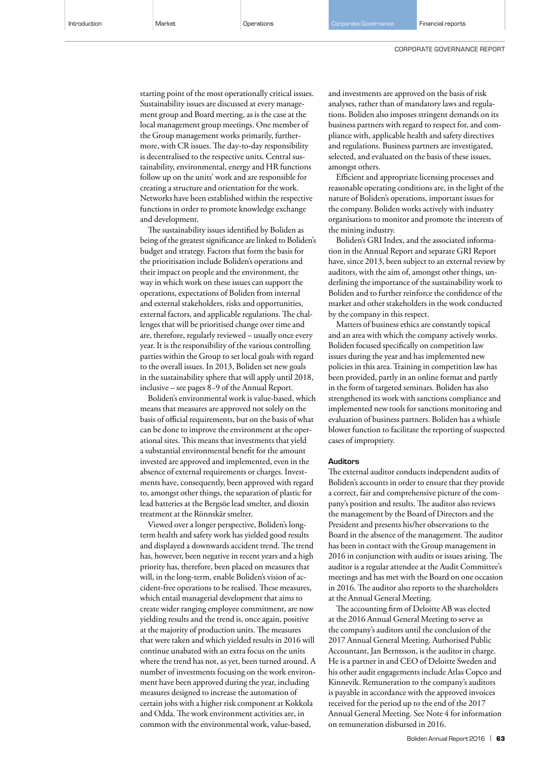CORPORATE GOVERNANCE REPORT

starting point of the most operationally critical issues. Sustainability issues are discussed at every management group and Board meeting, as is the case at the local management group meetings. One member of the Group management works primarily, furthermore, with CR issues. The day-to-day responsibility is decentralised to the respective units. Central sustainability, environmental, energy and HR functions follow up on the units' work and are responsible for creating a structure and orientation for the work. Networks have been established within the respective functions in order to promote knowledge exchange and development.

The sustainability issues identified by Boliden as being of the greatest significance are linked to Boliden's budget and strategy. Factors that form the basis for the prioritisation include Boliden's operations and their impact on people and the environment, the way in which work on these issues can support the operations, expectations of Boliden from internal and external stakeholders, risks and opportunities, external factors, and applicable regulations. The challenges that will be prioritised change over time and are, therefore, regularly reviewed – usually once every year. It is the responsibility of the various controlling parties within the Group to set local goals with regard to the overall issues. In 2013, Boliden set new goals in the sustainability sphere that will apply until 2018, inclusive – see pages 8−9 of the Annual Report.

Boliden's environmental work is value-based, which means that measures are approved not solely on the basis of official requirements, but on the basis of what can be done to improve the environment at the operational sites. This means that investments that yield a substantial environmental benefit for the amount invested are approved and implemented, even in the absence of external requirements or charges. Investments have, consequently, been approved with regard to, amongst other things, the separation of plastic for lead batteries at the Bergsöe lead smelter, and dioxin treatment at the Rönnskär smelter.

Viewed over a longer perspective, Boliden's longterm health and safety work has yielded good results and displayed a downwards accident trend. The trend has, however, been negative in recent years and a high priority has, therefore, been placed on measures that will, in the long-term, enable Boliden's vision of accident-free operations to be realised. These measures, which entail managerial development that aims to create wider ranging employee commitment, are now yielding results and the trend is, once again, positive at the majority of production units. The measures that were taken and which yielded results in 2016 will continue unabated with an extra focus on the units where the trend has not, as yet, been turned around. A number of investments focusing on the work environment have been approved during the year, including measures designed to increase the automation of certain jobs with a higher risk component at Kokkola and Odda. The work environment activities are, in common with the environmental work, value-based,

and investments are approved on the basis of risk analyses, rather than of mandatory laws and regulations. Boliden also imposes stringent demands on its business partners with regard to respect for, and compliance with, applicable health and safety directives and regulations. Business partners are investigated, selected, and evaluated on the basis of these issues, amongst others.

Efficient and appropriate licensing processes and reasonable operating conditions are, in the light of the nature of Boliden's operations, important issues for the company. Boliden works actively with industry organisations to monitor and promote the interests of the mining industry.

Boliden's GRI Index, and the associated information in the Annual Report and separate GRI Report have, since 2013, been subject to an external review by auditors, with the aim of, amongst other things, underlining the importance of the sustainability work to Boliden and to further reinforce the confidence of the market and other stakeholders in the work conducted by the company in this respect.

Matters of business ethics are constantly topical and an area with which the company actively works. Boliden focused specifically on competition law issues during the year and has implemented new policies in this area. Training in competition law has been provided, partly in an online format and partly in the form of targeted seminars. Boliden has also strengthened its work with sanctions compliance and implemented new tools for sanctions monitoring and evaluation of business partners. Boliden has a whistle blower function to facilitate the reporting of suspected cases of impropriety.

#### Auditors

The external auditor conducts independent audits of Boliden's accounts in order to ensure that they provide a correct, fair and comprehensive picture of the company's position and results. The auditor also reviews the management by the Board of Directors and the President and presents his/her observations to the Board in the absence of the management. The auditor has been in contact with the Group management in 2016 in conjunction with audits or issues arising. The auditor is a regular attendee at the Audit Committee's meetings and has met with the Board on one occasion in 2016. The auditor also reports to the shareholders at the Annual General Meeting.

The accounting firm of Deloitte AB was elected at the 2016 Annual General Meeting to serve as the company's auditors until the conclusion of the 2017 Annual General Meeting. Authorised Public Accountant, Jan Berntsson, is the auditor in charge. He is a partner in and CEO of Deloitte Sweden and his other audit engagements include Atlas Copco and Kinnevik. Remuneration to the company's auditors is payable in accordance with the approved invoices received for the period up to the end of the 2017 Annual General Meeting. See Note 4 for information on remuneration disbursed in 2016.

Boliden Annual Report 2016 | **63**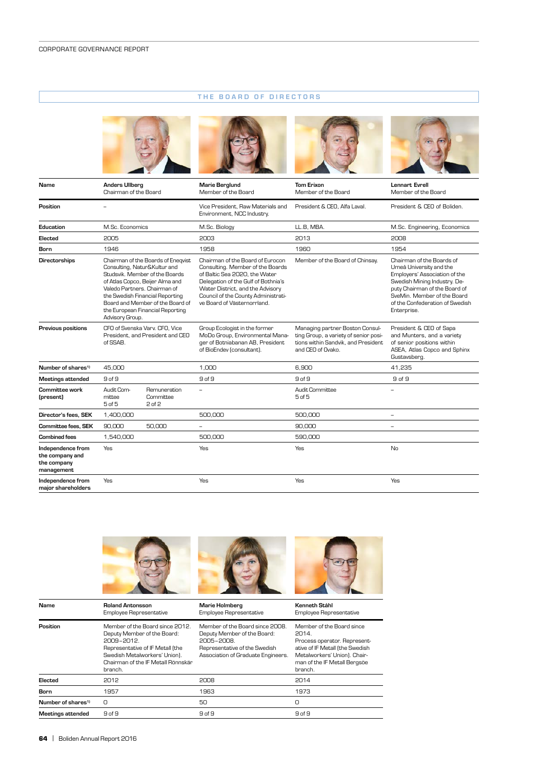# THE BOARD OF DIRECTORS



| Name                                                              | <b>Anders Ullberg</b><br>Chairman of the Board                                                                                                                                                                                                                                                        |                                                                    | <b>Marie Berglund</b><br>Member of the Board                                                                                                                                                                                                           | <b>Tom Erixon</b><br>Member of the Board                                                                                             | <b>Lennart Evrell</b><br>Member of the Board                                                                                                                                                                                            |
|-------------------------------------------------------------------|-------------------------------------------------------------------------------------------------------------------------------------------------------------------------------------------------------------------------------------------------------------------------------------------------------|--------------------------------------------------------------------|--------------------------------------------------------------------------------------------------------------------------------------------------------------------------------------------------------------------------------------------------------|--------------------------------------------------------------------------------------------------------------------------------------|-----------------------------------------------------------------------------------------------------------------------------------------------------------------------------------------------------------------------------------------|
| Position                                                          |                                                                                                                                                                                                                                                                                                       |                                                                    | Vice President, Raw Materials and<br>Environment, NCC Industry.                                                                                                                                                                                        | President & CEO, Alfa Laval.                                                                                                         | President & CEO of Boliden.                                                                                                                                                                                                             |
| Education                                                         | M.Sc. Economics                                                                                                                                                                                                                                                                                       |                                                                    | M.Sc. Biology                                                                                                                                                                                                                                          | LL.B, MBA.                                                                                                                           | M.Sc. Engineering, Economics                                                                                                                                                                                                            |
| Elected                                                           | 2005                                                                                                                                                                                                                                                                                                  |                                                                    | 2003                                                                                                                                                                                                                                                   | 2013                                                                                                                                 | 2008                                                                                                                                                                                                                                    |
| Born                                                              | 1946                                                                                                                                                                                                                                                                                                  |                                                                    | 1958                                                                                                                                                                                                                                                   | 1960                                                                                                                                 | 1954                                                                                                                                                                                                                                    |
| <b>Directorships</b>                                              | Chairman of the Boards of Eneqvist<br>Consulting, Natur&Kultur and<br>Studsvik. Member of the Boards<br>of Atlas Copco, Beijer Alma and<br>Valedo Partners, Chairman of<br>the Swedish Financial Reporting<br>Board and Member of the Board of<br>the European Financial Reporting<br>Advisory Group. |                                                                    | Chairman of the Board of Eurocon<br>Consulting. Member of the Boards<br>of Baltic Sea 2020, the Water<br>Delegation of the Gulf of Bothnia's<br>Water District, and the Advisory<br>Council of the County Administrati-<br>ve Board of Västernorrland. | Member of the Board of Chinsay.                                                                                                      | Chairman of the Boards of<br>Umeå University and the<br>Employers' Association of the<br>Swedish Mining Industry. De-<br>puty Chairman of the Board of<br>SveMin. Member of the Board<br>of the Confederation of Swedish<br>Enterprise. |
| <b>Previous positions</b>                                         | of SSAB.                                                                                                                                                                                                                                                                                              | CFO of Svenska Varv. CFO. Vice<br>President, and President and CEO | Group Ecologist in the former<br>MoDo Group, Environmental Mana-<br>ger of Botniabanan AB, President<br>of BioEndev (consultant).                                                                                                                      | Managing partner Boston Consul-<br>ting Group, a variety of senior posi-<br>tions within Sandvik, and President<br>and CEO of Ovako. | President & CEO of Sapa<br>and Munters, and a variety<br>of senior positions within<br>ASEA, Atlas Copco and Sphinx<br>Gustavsberg.                                                                                                     |
| Number of shares <sup>1)</sup>                                    | 45,000                                                                                                                                                                                                                                                                                                |                                                                    | 1.000                                                                                                                                                                                                                                                  | 6.900                                                                                                                                | 41,235                                                                                                                                                                                                                                  |
| <b>Meetings attended</b>                                          | 9 of 9                                                                                                                                                                                                                                                                                                |                                                                    | 9 of 9                                                                                                                                                                                                                                                 | 9 of 9                                                                                                                               | 9 of 9                                                                                                                                                                                                                                  |
| Committee work<br>(present)                                       | Audit Com-<br>mittee<br>$5$ of $5$                                                                                                                                                                                                                                                                    | Remuneration<br>Committee<br>$2$ of $2$                            |                                                                                                                                                                                                                                                        | Audit Committee<br>$5$ of $5$                                                                                                        | $\equiv$                                                                                                                                                                                                                                |
| Director's fees. SEK                                              | 1,400,000                                                                                                                                                                                                                                                                                             |                                                                    | 500.000                                                                                                                                                                                                                                                | 500,000                                                                                                                              | $\overline{\phantom{a}}$                                                                                                                                                                                                                |
| <b>Committee fees. SEK</b>                                        | 90,000                                                                                                                                                                                                                                                                                                | 50,000                                                             | $\overline{\phantom{0}}$                                                                                                                                                                                                                               | 90,000                                                                                                                               | $\overline{\phantom{a}}$                                                                                                                                                                                                                |
| <b>Combined fees</b>                                              | 1,540,000                                                                                                                                                                                                                                                                                             |                                                                    | 500.000                                                                                                                                                                                                                                                | 590,000                                                                                                                              |                                                                                                                                                                                                                                         |
| Independence from<br>the company and<br>the company<br>management | Yes                                                                                                                                                                                                                                                                                                   |                                                                    | Yes                                                                                                                                                                                                                                                    | Yes                                                                                                                                  | No                                                                                                                                                                                                                                      |
| Independence from<br>maior shareholders                           | Yes                                                                                                                                                                                                                                                                                                   |                                                                    | Yes                                                                                                                                                                                                                                                    | Yes                                                                                                                                  | Yes                                                                                                                                                                                                                                     |



| Name                           | <b>Roland Antonsson</b><br><b>Employee Representative</b>                                                                                                                                          | <b>Marie Holmberg</b><br>Employee Representative                                                                                                    | Kenneth Ståhl<br>Employee Representative                                                                                                                                         |
|--------------------------------|----------------------------------------------------------------------------------------------------------------------------------------------------------------------------------------------------|-----------------------------------------------------------------------------------------------------------------------------------------------------|----------------------------------------------------------------------------------------------------------------------------------------------------------------------------------|
| Position                       | Member of the Board since 2012.<br>Deputy Member of the Board:<br>2009-2012.<br>Representative of IF Metall (the<br>Swedish Metalworkers' Union).<br>Chairman of the IF Metall Rönnskär<br>branch. | Member of the Board since 2008.<br>Deputy Member of the Board:<br>2005-2008.<br>Representative of the Swedish<br>Association of Graduate Engineers. | Member of the Board since<br>2014.<br>Process operator. Represent-<br>ative of IF Metall (the Swedish<br>Metalworkers' Union). Chair-<br>man of the IF Metall Bergsöe<br>branch. |
| Elected                        | 2012                                                                                                                                                                                               | 2008                                                                                                                                                | 2014                                                                                                                                                                             |
| <b>Born</b>                    | 1957                                                                                                                                                                                               | 1963                                                                                                                                                | 1973                                                                                                                                                                             |
| Number of shares <sup>1)</sup> | O                                                                                                                                                                                                  | 50                                                                                                                                                  | O                                                                                                                                                                                |
| Meetings attended              | 9 of 9                                                                                                                                                                                             | 9 of 9                                                                                                                                              | 9 of 9                                                                                                                                                                           |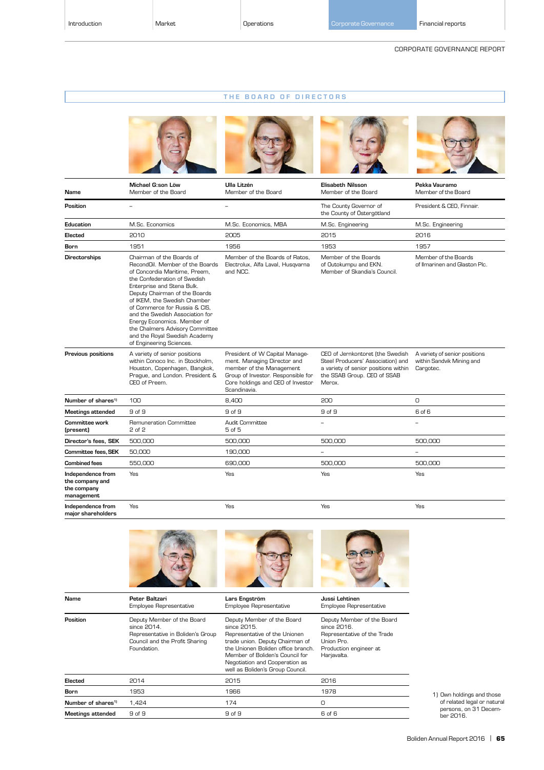# THE BOARD OF DIRECTORS





| Name                                                              | Michael G:son Löw<br>Member of the Board                                                                                                                                                                                                                                                                                                                                                                                        | Ulla Litzén<br>Member of the Board                                                                                                                                                   | <b>Elisabeth Nilsson</b><br>Member of the Board                                                                                                        | Pekka Vauramo<br>Member of the Board                                    |
|-------------------------------------------------------------------|---------------------------------------------------------------------------------------------------------------------------------------------------------------------------------------------------------------------------------------------------------------------------------------------------------------------------------------------------------------------------------------------------------------------------------|--------------------------------------------------------------------------------------------------------------------------------------------------------------------------------------|--------------------------------------------------------------------------------------------------------------------------------------------------------|-------------------------------------------------------------------------|
| Position                                                          | $\qquad \qquad -$                                                                                                                                                                                                                                                                                                                                                                                                               | $\qquad \qquad -$                                                                                                                                                                    | The County Governor of<br>the County of Östergötland                                                                                                   | President & CEO, Finnair.                                               |
| Education                                                         | M.Sc. Economics                                                                                                                                                                                                                                                                                                                                                                                                                 | M.Sc. Economics, MBA                                                                                                                                                                 | M.Sc. Engineering                                                                                                                                      | M.Sc. Engineering                                                       |
| Elected                                                           | 2010                                                                                                                                                                                                                                                                                                                                                                                                                            | 2005                                                                                                                                                                                 | 2015                                                                                                                                                   | 2016                                                                    |
| <b>Born</b>                                                       | 1951                                                                                                                                                                                                                                                                                                                                                                                                                            | 1956                                                                                                                                                                                 | 1953                                                                                                                                                   | 1957                                                                    |
| <b>Directorships</b>                                              | Chairman of the Boards of<br>RecondOil. Member of the Boards<br>of Concordia Maritime. Preem.<br>the Confederation of Swedish<br>Enterprise and Stena Bulk.<br>Deputy Chairman of the Boards<br>of IKEM, the Swedish Chamber<br>of Commerce for Russia & CIS.<br>and the Swedish Association for<br>Energy Economics. Member of<br>the Chalmers Advisory Committee<br>and the Royal Swedish Academy<br>of Engineering Sciences. | Member of the Boards of Ratos.<br>Electrolux, Alfa Laval, Husqvarna<br>and NCC.                                                                                                      | Member of the Boards<br>of Outokumpu and EKN.<br>Member of Skandia's Council.                                                                          | Member of the Boards<br>of Ilmarinen and Glaston Plc.                   |
| Previous positions                                                | A variety of senior positions<br>within Conoco Inc. in Stockholm,<br>Houston, Copenhagen, Bangkok,<br>Praque, and London. President &<br>CEO of Preem.                                                                                                                                                                                                                                                                          | President of W Capital Manage-<br>ment. Managing Director and<br>member of the Management<br>Group of Investor. Responsible for<br>Core holdings and CEO of Investor<br>Scandinavia. | CEO of Jernkontoret (the Swedish<br>Steel Producers' Association) and<br>a variety of senior positions within<br>the SSAB Group. CEO of SSAB<br>Merox. | A variety of senior positions<br>within Sandvik Mining and<br>Cargotec. |
| Number of shares <sup>1)</sup>                                    | 100                                                                                                                                                                                                                                                                                                                                                                                                                             | 8.400                                                                                                                                                                                | 200                                                                                                                                                    | $\Omega$                                                                |
| Meetings attended                                                 | 9 of 9                                                                                                                                                                                                                                                                                                                                                                                                                          | 9 of 9                                                                                                                                                                               | 9 of 9                                                                                                                                                 | 6 of 6                                                                  |
| <b>Committee work</b><br>(present)                                | Remuneration Committee<br>2 of 2                                                                                                                                                                                                                                                                                                                                                                                                | Audit Committee<br>5 of 5                                                                                                                                                            |                                                                                                                                                        |                                                                         |
| Director's fees, SEK                                              | 500,000                                                                                                                                                                                                                                                                                                                                                                                                                         | 500,000                                                                                                                                                                              | 500,000                                                                                                                                                | 500,000                                                                 |
| <b>Committee fees. SEK</b>                                        | 50,000                                                                                                                                                                                                                                                                                                                                                                                                                          | 190,000                                                                                                                                                                              | ÷,                                                                                                                                                     | $\overline{\phantom{0}}$                                                |
| <b>Combined fees</b>                                              | 550,000                                                                                                                                                                                                                                                                                                                                                                                                                         | 690.000                                                                                                                                                                              | 500.000                                                                                                                                                | 500.000                                                                 |
| Independence from<br>the company and<br>the company<br>management | <b>Yes</b>                                                                                                                                                                                                                                                                                                                                                                                                                      | Yes                                                                                                                                                                                  | Yes                                                                                                                                                    | Yes                                                                     |
| Independence from<br>maior shareholders                           | Yes                                                                                                                                                                                                                                                                                                                                                                                                                             | Yes                                                                                                                                                                                  | Yes                                                                                                                                                    | Yes                                                                     |



| Name                           | Peter Baltzari<br>Employee Representative                                                                                       | Lars Engström<br>Employee Representative                                                                                                                                                                                                                     | Jussi Lehtinen<br><b>Employee Representative</b>                                                                                |     |
|--------------------------------|---------------------------------------------------------------------------------------------------------------------------------|--------------------------------------------------------------------------------------------------------------------------------------------------------------------------------------------------------------------------------------------------------------|---------------------------------------------------------------------------------------------------------------------------------|-----|
| Position                       | Deputy Member of the Board<br>since 2014.<br>Representative in Boliden's Group<br>Council and the Profit Sharing<br>Foundation. | Deputy Member of the Board<br>since 2015.<br>Representative of the Unionen<br>trade union. Deputy Chairman of<br>the Unionen Boliden office branch.<br>Member of Boliden's Council for<br>Negotiation and Cooperation as<br>well as Boliden's Group Council. | Deputy Member of the Board<br>since 2016.<br>Representative of the Trade<br>Union Pro.<br>Production engineer at<br>Harjavalta. |     |
| Elected                        | 2014                                                                                                                            | 2015                                                                                                                                                                                                                                                         | 2016                                                                                                                            |     |
| Born                           | 1953                                                                                                                            | 1966                                                                                                                                                                                                                                                         | 1978                                                                                                                            | 1)0 |
| Number of shares <sup>1)</sup> | 1.424                                                                                                                           | 174                                                                                                                                                                                                                                                          | O                                                                                                                               |     |
| <b>Meetings attended</b>       | 9 of 9                                                                                                                          | 9 of 9                                                                                                                                                                                                                                                       | 6 of 6                                                                                                                          |     |

1) Own holdings and those of related legal or natural persons, on 31 Decem-ber 2016.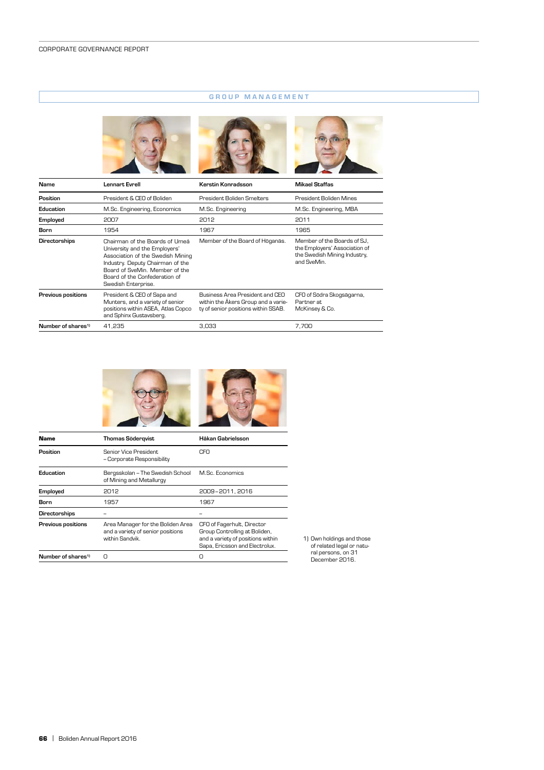# GROUP MANAGEMENT



| Name                           | <b>Lennart Evrell</b>                                                                                                                                                                                                              | Kerstin Konradsson                                                                                            | <b>Mikael Staffas</b>                                                                                       |
|--------------------------------|------------------------------------------------------------------------------------------------------------------------------------------------------------------------------------------------------------------------------------|---------------------------------------------------------------------------------------------------------------|-------------------------------------------------------------------------------------------------------------|
| Position                       | President & CEO of Boliden                                                                                                                                                                                                         | President Boliden Smelters                                                                                    | President Boliden Mines                                                                                     |
| Education                      | M.Sc. Engineering, Economics                                                                                                                                                                                                       | M.Sc. Engineering                                                                                             | M.Sc. Engineering, MBA                                                                                      |
| Employed                       | 2007                                                                                                                                                                                                                               | 2012                                                                                                          | 2011                                                                                                        |
| Born                           | 1954                                                                                                                                                                                                                               | 1967                                                                                                          | 1965                                                                                                        |
| Directorships                  | Chairman of the Boards of Umeå<br>University and the Employers'<br>Association of the Swedish Mining<br>Industry. Deputy Chairman of the<br>Board of SveMin. Member of the<br>Board of the Confederation of<br>Swedish Enterprise. | Member of the Board of Höganäs.                                                                               | Member of the Boards of SJ,<br>the Employers' Association of<br>the Swedish Mining Industry,<br>and SveMin. |
| Previous positions             | President & CEO of Sapa and<br>Munters, and a variety of senior<br>positions within ASEA, Atlas Copco<br>and Sphinx Gustavsberg.                                                                                                   | Business Area President and CEO<br>within the Akers Group and a varie-<br>ty of senior positions within SSAB. | CFO of Södra Skogsägarna,<br>Partner at.<br>McKinsey & Co.                                                  |
| Number of shares <sup>1)</sup> | 41.235                                                                                                                                                                                                                             | 3.033                                                                                                         | 7.700                                                                                                       |





| Name                           | Thomas Söderqvist                                                                         | Håkan Gabrielsson                                                                                                                  |
|--------------------------------|-------------------------------------------------------------------------------------------|------------------------------------------------------------------------------------------------------------------------------------|
| Position                       | Senior Vice President<br>- Corporate Responsibility                                       | CFO                                                                                                                                |
| Education                      | Bergsskolan – The Swedish School<br>of Mining and Metallurgy                              | M.Sc. Economics                                                                                                                    |
| <b>Employed</b>                | 2012                                                                                      | 2009-2011.2016                                                                                                                     |
| Born                           | 1957                                                                                      | 1967                                                                                                                               |
| Directorships                  |                                                                                           |                                                                                                                                    |
| <b>Previous positions</b>      | Area Manager for the Boliden Area<br>and a variety of senior positions<br>within Sandvik. | CFO of Fagerhult, Director<br>Group Controlling at Boliden,<br>and a variety of positions within<br>Sapa, Ericsson and Electrolux. |
| Number of shares <sup>1)</sup> | n                                                                                         | n                                                                                                                                  |

1) Own holdings and those of related legal or natu-ral persons, on 31 December 2016.